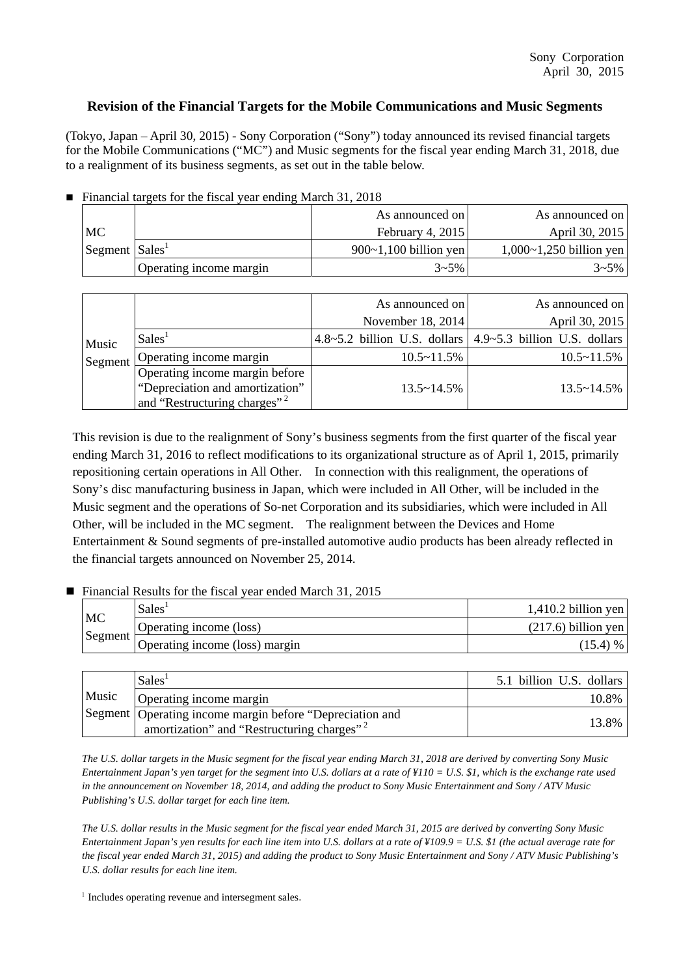## **Revision of the Financial Targets for the Mobile Communications and Music Segments**

(Tokyo, Japan – April 30, 2015) - Sony Corporation ("Sony") today announced its revised financial targets for the Mobile Communications ("MC") and Music segments for the fiscal year ending March 31, 2018, due to a realignment of its business segments, as set out in the table below.

|  |  | Financial targets for the fiscal year ending March 31, 2018 |  |
|--|--|-------------------------------------------------------------|--|
|  |  |                                                             |  |

|                                            |                         | As announced on         | As announced on         |
|--------------------------------------------|-------------------------|-------------------------|-------------------------|
| MC                                         |                         | February 4, $2015$      | April 30, 2015          |
| $\sqrt{\text{Segment}}$ Sales <sup>1</sup> |                         | $900~1,100$ billion yen | 1,000~1,250 billion yen |
|                                            | Operating income margin | $3 - 5\%$               | $3 - 5\%$               |

|                  |                                          | As announced on      | As announced on                                                          |
|------------------|------------------------------------------|----------------------|--------------------------------------------------------------------------|
|                  |                                          | November 18, 2014    | April 30, 2015                                                           |
| Music<br>Segment | Sales <sup>1</sup>                       |                      | $4.8 \sim 5.2$ billion U.S. dollars $ 4.9 \sim 5.3$ billion U.S. dollars |
|                  | Operating income margin                  | $10.5 \sim 11.5\%$   | $10.5 \sim 11.5\%$                                                       |
|                  | Operating income margin before           |                      |                                                                          |
|                  | "Depreciation and amortization"          | $13.5 \times 14.5\%$ | $13.5 \times 14.5\%$                                                     |
|                  | and "Restructuring charges" <sup>2</sup> |                      |                                                                          |

This revision is due to the realignment of Sony's business segments from the first quarter of the fiscal year ending March 31, 2016 to reflect modifications to its organizational structure as of April 1, 2015, primarily repositioning certain operations in All Other. In connection with this realignment, the operations of Sony's disc manufacturing business in Japan, which were included in All Other, will be included in the Music segment and the operations of So-net Corporation and its subsidiaries, which were included in All Other, will be included in the MC segment. The realignment between the Devices and Home Entertainment & Sound segments of pre-installed automotive audio products has been already reflected in the financial targets announced on November 25, 2014.

## ■ Financial Results for the fiscal year ended March 31, 2015

| MC      | Sales <sup>®</sup>             | $1,410.2$ billion yen |
|---------|--------------------------------|-----------------------|
|         | Operating income (loss)        | $(217.6)$ billion yen |
| Segment | Operating income (loss) margin | (15.4) %              |

|       | Sales <sup>1</sup>                                                                                                 | 5.1 billion U.S. dollars |
|-------|--------------------------------------------------------------------------------------------------------------------|--------------------------|
| Music | Operating income margin                                                                                            | 10.8%                    |
|       | Segment Operating income margin before "Depreciation and<br>amortization" and "Restructuring charges" <sup>2</sup> | 13.8%                    |

*The U.S. dollar targets in the Music segment for the fiscal year ending March 31, 2018 are derived by converting Sony Music Entertainment Japan's yen target for the segment into U.S. dollars at a rate of ¥110 = U.S. \$1, which is the exchange rate used in the announcement on November 18, 2014, and adding the product to Sony Music Entertainment and Sony / ATV Music Publishing's U.S. dollar target for each line item.*

*The U.S. dollar results in the Music segment for the fiscal year ended March 31, 2015 are derived by converting Sony Music Entertainment Japan's yen results for each line item into U.S. dollars at a rate of ¥109.9 = U.S. \$1 (the actual average rate for the fiscal year ended March 31, 2015) and adding the product to Sony Music Entertainment and Sony / ATV Music Publishing's U.S. dollar results for each line item.*

 $1$  Includes operating revenue and intersegment sales.